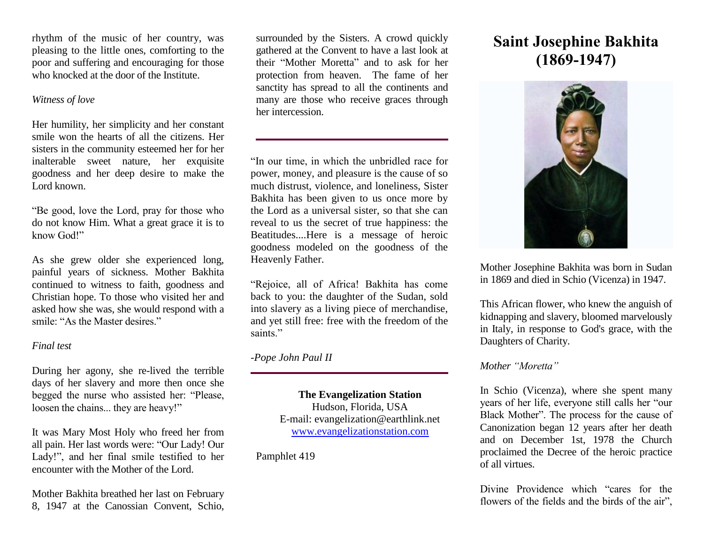rhythm of the music of her country, was pleasing to the little ones, comforting to the poor and suffering and encouraging for those who knocked at the door of the Institute.

#### *Witness of love*

Her humility, her simplicity and her constant smile won the hearts of all the citizens. Her sisters in the community esteemed her for her inalterable sweet nature, her exquisite goodness and her deep desire to make the Lord known.

"Be good, love the Lord, pray for those who do not know Him. What a great grace it is to know God!"

As she grew older she experienced long, painful years of sickness. Mother Bakhita continued to witness to faith, goodness and Christian hope. To those who visited her and asked how she was, she would respond with a smile: "As the Master desires."

#### *Final test*

During her agony, she re-lived the terrible days of her slavery and more then once she begged the nurse who assisted her: "Please, loosen the chains... they are heavy!"

It was Mary Most Holy who freed her from all pain. Her last words were: "Our Lady! Our Lady!", and her final smile testified to her encounter with the Mother of the Lord.

Mother Bakhita breathed her last on February 8, 1947 at the Canossian Convent, Schio, surrounded by the Sisters. A crowd quickly gathered at the Convent to have a last look at their "Mother Moretta" and to ask for her protection from heaven. The fame of her sanctity has spread to all the continents and many are those who receive graces through her intercession.

"In our time, in which the unbridled race for power, money, and pleasure is the cause of so much distrust, violence, and loneliness, Sister Bakhita has been given to us once more by the Lord as a universal sister, so that she can reveal to us the secret of true happiness: the Beatitudes....Here is a message of heroic goodness modeled on the goodness of the Heavenly Father.

"Rejoice, all of Africa! Bakhita has come back to you: the daughter of the Sudan, sold into slavery as a living piece of merchandise, and yet still free: free with the freedom of the saints."

### *-Pope John Paul II*

**The Evangelization Station**  Hudson, Florida, USA E-mail: evangelization@earthlink.net [www.evangelizationstation.com](http://www.pjpiisoe.org/)

Pamphlet 419

# **Saint Josephine Bakhita (1869-1947)**



Mother Josephine Bakhita was born in Sudan in 1869 and died in Schio (Vicenza) in 1947.

This African flower, who knew the anguish of kidnapping and slavery, bloomed marvelously in Italy, in response to God's grace, with the Daughters of Charity.

### *Mother "Moretta"*

In Schio (Vicenza), where she spent many years of her life, everyone still calls her "our Black Mother". The process for the cause of Canonization began 12 years after her death and on December 1st, 1978 the Church proclaimed the Decree of the heroic practice of all virtues.

Divine Providence which "cares for the flowers of the fields and the birds of the air",